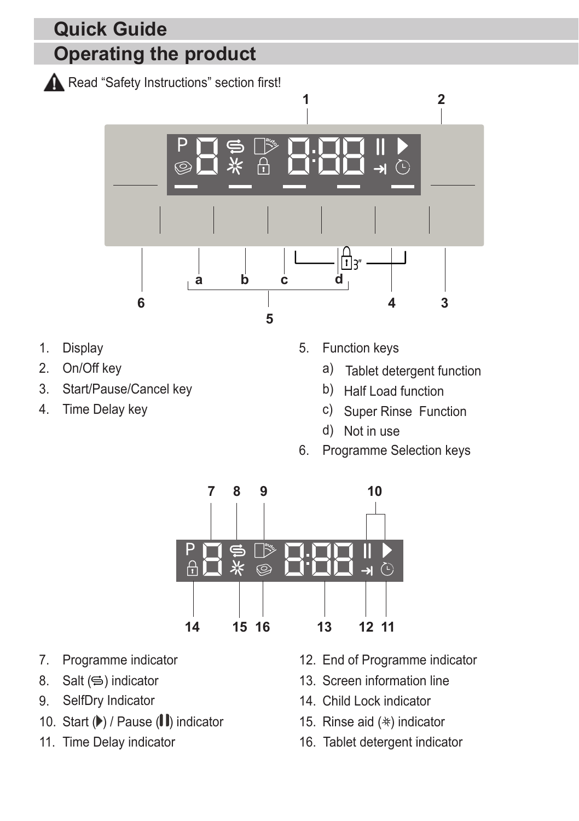## **Operating the product Quick Guide**

Read "Safety Instructions" section first!



- 1. Display
- 2. On/Off key
- 3. Start/Pause/Cancel key
- 4. Time Delay key
- 5. Function keys
	- a) Tablet detergent function
	- b) Half Load function
	- c) Super Rinse Function
	- d) Not in use
- 6. Programme Selection keys



- 7. Programme indicator
- 8. Salt  $(\leq)$  indicator
- 9. SelfDry Indicator
- 10. Start  $(\blacktriangleright)$  / Pause  $(\blacktriangleright)$  indicator
- 11. Time Delay indicator
- 12. End of Programme indicator
- 13. Screen information line
- 14. Child Lock indicator
- 15. Rinse aid  $(*)$  indicator
- 16. Tablet detergent indicator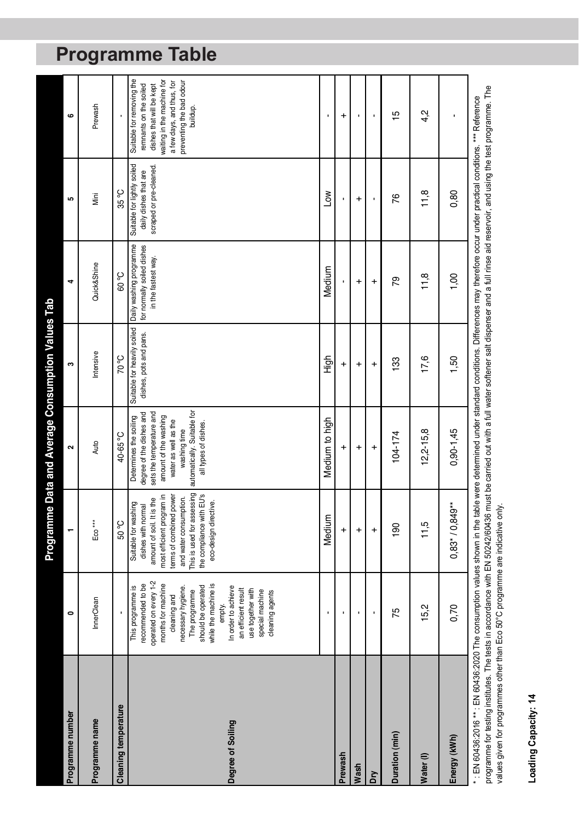|                                                                                                                                                                                                     |                                                                                                                                                                                                                                                                                                               |                                                                                                                                                                                                                                              | Programme Data and Average Consumption Values Tab                                                                                                                                                      |                                                       |                                                                              |                                                                                 |                                                                                                                                                                                    |
|-----------------------------------------------------------------------------------------------------------------------------------------------------------------------------------------------------|---------------------------------------------------------------------------------------------------------------------------------------------------------------------------------------------------------------------------------------------------------------------------------------------------------------|----------------------------------------------------------------------------------------------------------------------------------------------------------------------------------------------------------------------------------------------|--------------------------------------------------------------------------------------------------------------------------------------------------------------------------------------------------------|-------------------------------------------------------|------------------------------------------------------------------------------|---------------------------------------------------------------------------------|------------------------------------------------------------------------------------------------------------------------------------------------------------------------------------|
| Programme number                                                                                                                                                                                    | 0                                                                                                                                                                                                                                                                                                             |                                                                                                                                                                                                                                              | $\sim$                                                                                                                                                                                                 | ø                                                     | 4                                                                            | LO.                                                                             | 6                                                                                                                                                                                  |
| Programme name                                                                                                                                                                                      | InnerClean                                                                                                                                                                                                                                                                                                    | $E$ oo $***$                                                                                                                                                                                                                                 | Auto                                                                                                                                                                                                   | Intensive                                             | Quick&Shine                                                                  | İ                                                                               | Prewash                                                                                                                                                                            |
| Cleaning temperature                                                                                                                                                                                |                                                                                                                                                                                                                                                                                                               | <b>Co</b> 09                                                                                                                                                                                                                                 | <b>30-65</b>                                                                                                                                                                                           | <b>Co OZ</b>                                          | <b>Co. 09</b>                                                                | $35^{\circ}$ C                                                                  |                                                                                                                                                                                    |
| Degree of Soiling                                                                                                                                                                                   | operated on every 1-2<br>while the machine is<br>months for machine<br>recommended to be<br>should be operated<br>This programme is<br>In order to achieve<br>necessary hygiene.<br>an efficient result<br>use together with<br>special machine<br>The programme<br>cleaning agents<br>cleaning and<br>empty. | This is used for assessing<br>the compliance with EU's<br>most efficient program in<br>terms of combined power<br>and water consumption.<br>amount of soil. It is the<br>eco-design directive.<br>Suitable for washing<br>dishes with normal | automatically. Suitable for<br>degree of the dishes and<br>sets the temperature and<br>Determines the soiling<br>amount of the washing<br>water as well as the<br>all types of dishes.<br>washing time | Suitable for heavily soiled<br>dishes, pots and pans. | Daily washing programme<br>for normally soiled dishes<br>in the fastest way. | Suitable for lightly soiled<br>scraped or pre-cleaned.<br>daily dishes that are | Suitable for removing the<br>waiting in the machine for<br>preventing the bad odour<br>a few days, and thus, for<br>remnants on the soiled<br>dishes that will be kept<br>buildup. |
|                                                                                                                                                                                                     |                                                                                                                                                                                                                                                                                                               | Medium                                                                                                                                                                                                                                       | Medium to high                                                                                                                                                                                         | 高王                                                    | Medium                                                                       | <b>NOT</b>                                                                      |                                                                                                                                                                                    |
| Prewash                                                                                                                                                                                             |                                                                                                                                                                                                                                                                                                               | $\ddot{}$                                                                                                                                                                                                                                    | $\ddot{}$                                                                                                                                                                                              | $\ddot{}$                                             |                                                                              |                                                                                 | $\ddot{}$                                                                                                                                                                          |
| Wash                                                                                                                                                                                                |                                                                                                                                                                                                                                                                                                               | $\ddot{}$                                                                                                                                                                                                                                    | $\ddot{}$                                                                                                                                                                                              | $\overline{+}$                                        | $\overline{+}$                                                               | $\ddot{}$                                                                       |                                                                                                                                                                                    |
| Σň                                                                                                                                                                                                  |                                                                                                                                                                                                                                                                                                               | $\overline{+}$                                                                                                                                                                                                                               | $\ddot{}$                                                                                                                                                                                              | $\ddot{}$                                             | $\ddot{}$                                                                    |                                                                                 |                                                                                                                                                                                    |
| Duration (min)                                                                                                                                                                                      | 75                                                                                                                                                                                                                                                                                                            | $\frac{8}{2}$                                                                                                                                                                                                                                | $104 - 174$                                                                                                                                                                                            | 133                                                   | 79                                                                           | 76                                                                              | $\frac{1}{2}$                                                                                                                                                                      |
| Water(I)                                                                                                                                                                                            | 15,2                                                                                                                                                                                                                                                                                                          | 11,5                                                                                                                                                                                                                                         | $12,2 - 15,8$                                                                                                                                                                                          | 17,6                                                  | 11,8                                                                         | 11,8                                                                            | 4,2                                                                                                                                                                                |
| Energy (kWh)                                                                                                                                                                                        | 0,70                                                                                                                                                                                                                                                                                                          | $0,83*70,849**$                                                                                                                                                                                                                              | $0,90-1,45$                                                                                                                                                                                            | 1,50                                                  | 00,1                                                                         | 0,80                                                                            |                                                                                                                                                                                    |
| * : EN 60436:2016 ** : EN 60436:2020 The consumption values shown in the table were determined under standard conditions. Differences may therefore occur under practical conditions. *** Reference |                                                                                                                                                                                                                                                                                                               |                                                                                                                                                                                                                                              |                                                                                                                                                                                                        |                                                       | $\frac{1}{2}$                                                                |                                                                                 |                                                                                                                                                                                    |

programme for testing institutes. The tests in accordance with EN 50242/60436 must be carried out with a full water softener salt dispenser and a full rinse aid reservoir, and using the test programme. The<br>values given for programme for testing institutes. The tests in accordance with EN 50242/60436 must be carried out with a full water softener salt dispenser and a full rinse aid reservoir, and using the test programme. The values given for programmes other than Eco 50°C programme are indicative only.

# Loading Capacity: 14 **Loading Capacity: 14**

## **Programme Table**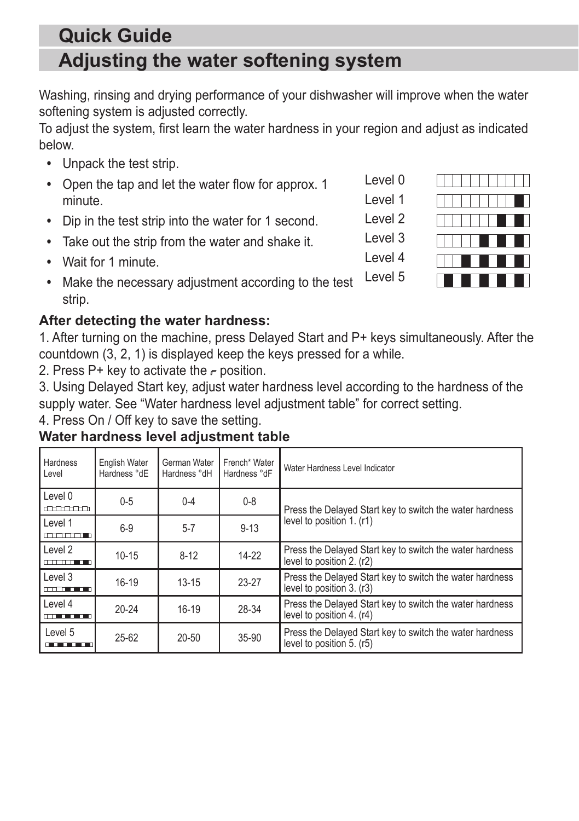## **Adjusting the water softening system Quick Guide**

Washing, rinsing and drying performance of your dishwasher will improve when the water softening system is adjusted correctly.

To adjust the system, first learn the water hardness in your region and adjust as indicated below.

- **•** Unpack the test strip.
- **•** Open the tap and let the water flow for approx. 1 minute.
- **•** Dip in the test strip into the water for 1 second.
- **•** Take out the strip from the water and shake it.
- **•** Wait for 1 minute.
- **•** Make the necessary adjustment according to the test strip. Level 5

#### **After detecting the water hardness:**

1. After turning on the machine, press Delayed Start and P+ keys simultaneously. After the countdown (3, 2, 1) is displayed keep the keys pressed for a while.

2. Press P+ key to activate the  $\epsilon$  position.

3. Using Delayed Start key, adjust water hardness level according to the hardness of the supply water. See "Water hardness level adjustment table" for correct setting.

4. Press On / Off key to save the setting.

### **Water hardness level adjustment table**

| Hardness<br>Level                                                                                              | English Water<br>Hardness °dE | German Water<br>Hardness °dH | French* Water<br>Hardness °dF | Water Hardness Level Indicator                                                        |  |
|----------------------------------------------------------------------------------------------------------------|-------------------------------|------------------------------|-------------------------------|---------------------------------------------------------------------------------------|--|
| Level 0<br>anana                                                                                               | $0 - 5$                       | $0 - 4$                      | $0 - 8$                       | Press the Delayed Start key to switch the water hardness<br>level to position 1. (r1) |  |
| Level 1<br>and the month of                                                                                    | $6-9$                         | $5 - 7$                      | $9 - 13$                      |                                                                                       |  |
| Level 2<br>$\begin{array}{c} \begin{array}{c} \begin{array}{c} \text{def} \end{array} \end{array} \end{array}$ | $10 - 15$                     | $8-12$                       | $14-22$                       | Press the Delayed Start key to switch the water hardness<br>level to position 2. (r2) |  |
| Level 3<br>and a series of the later                                                                           | $16-19$                       | $13 - 15$                    | 23-27                         | Press the Delayed Start key to switch the water hardness<br>level to position 3. (r3) |  |
| Level 4<br><b>CONTRACT</b>                                                                                     | $20 - 24$                     | $16-19$                      | 28-34                         | Press the Delayed Start key to switch the water hardness<br>level to position 4. (r4) |  |
| Level 5<br><u></u>                                                                                             | $25 - 62$                     | $20 - 50$                    | 35-90                         | Press the Delayed Start key to switch the water hardness<br>level to position 5. (r5) |  |



Level 0 Level 1 Level 2

Level 3

Level 4